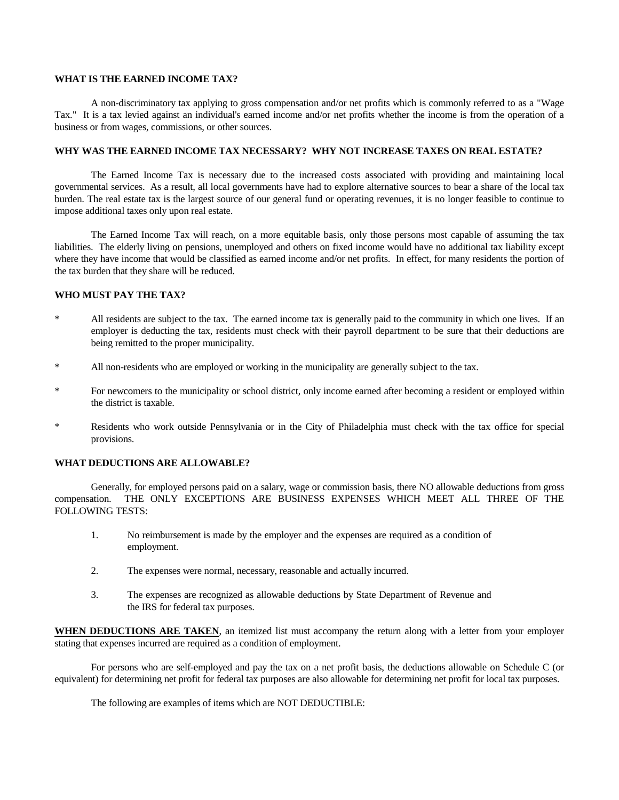#### **WHAT IS THE EARNED INCOME TAX?**

A non-discriminatory tax applying to gross compensation and/or net profits which is commonly referred to as a "Wage Tax." It is a tax levied against an individual's earned income and/or net profits whether the income is from the operation of a business or from wages, commissions, or other sources.

# **WHY WAS THE EARNED INCOME TAX NECESSARY? WHY NOT INCREASE TAXES ON REAL ESTATE?**

The Earned Income Tax is necessary due to the increased costs associated with providing and maintaining local governmental services. As a result, all local governments have had to explore alternative sources to bear a share of the local tax burden. The real estate tax is the largest source of our general fund or operating revenues, it is no longer feasible to continue to impose additional taxes only upon real estate.

The Earned Income Tax will reach, on a more equitable basis, only those persons most capable of assuming the tax liabilities. The elderly living on pensions, unemployed and others on fixed income would have no additional tax liability except where they have income that would be classified as earned income and/or net profits. In effect, for many residents the portion of the tax burden that they share will be reduced.

# **WHO MUST PAY THE TAX?**

- All residents are subject to the tax. The earned income tax is generally paid to the community in which one lives. If an employer is deducting the tax, residents must check with their payroll department to be sure that their deductions are being remitted to the proper municipality.
- \* All non-residents who are employed or working in the municipality are generally subject to the tax.
- For newcomers to the municipality or school district, only income earned after becoming a resident or employed within the district is taxable.
- \* Residents who work outside Pennsylvania or in the City of Philadelphia must check with the tax office for special provisions.

#### **WHAT DEDUCTIONS ARE ALLOWABLE?**

Generally, for employed persons paid on a salary, wage or commission basis, there NO allowable deductions from gross compensation. THE ONLY EXCEPTIONS ARE BUSINESS EXPENSES WHICH MEET ALL THREE OF THE FOLLOWING TESTS:

- 1. No reimbursement is made by the employer and the expenses are required as a condition of employment.
- 2. The expenses were normal, necessary, reasonable and actually incurred.
- 3. The expenses are recognized as allowable deductions by State Department of Revenue and the IRS for federal tax purposes.

**WHEN DEDUCTIONS ARE TAKEN**, an itemized list must accompany the return along with a letter from your employer stating that expenses incurred are required as a condition of employment.

For persons who are self-employed and pay the tax on a net profit basis, the deductions allowable on Schedule C (or equivalent) for determining net profit for federal tax purposes are also allowable for determining net profit for local tax purposes.

The following are examples of items which are NOT DEDUCTIBLE: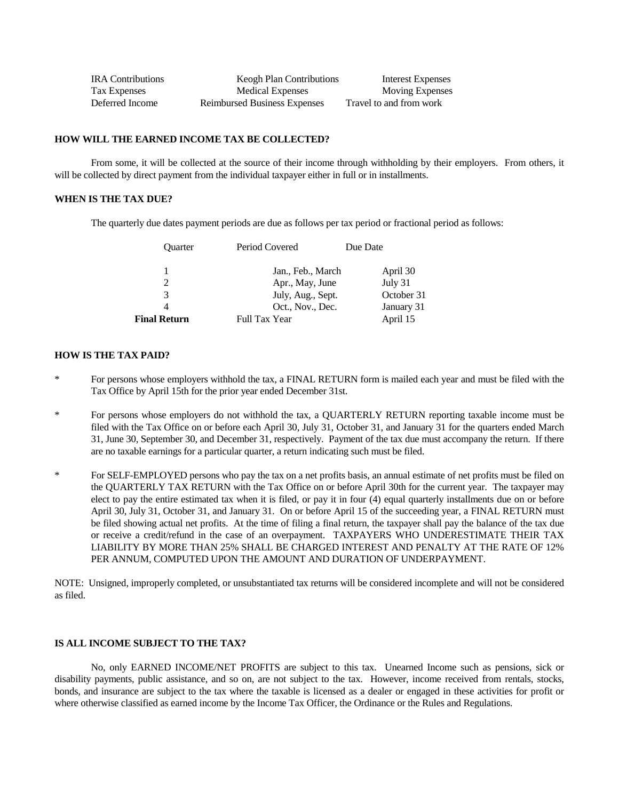| <b>IRA</b> Contributions | <b>Keogh Plan Contributions</b> | Interest Expenses       |
|--------------------------|---------------------------------|-------------------------|
| Tax Expenses             | <b>Medical Expenses</b>         | <b>Moving Expenses</b>  |
| Deferred Income          | Reimbursed Business Expenses    | Travel to and from work |

# **HOW WILL THE EARNED INCOME TAX BE COLLECTED?**

From some, it will be collected at the source of their income through withholding by their employers. From others, it will be collected by direct payment from the individual taxpayer either in full or in installments.

### **WHEN IS THE TAX DUE?**

The quarterly due dates payment periods are due as follows per tax period or fractional period as follows:

| <b>Ouarter</b>      | Period Covered       | Due Date |            |
|---------------------|----------------------|----------|------------|
|                     | Jan., Feb., March    |          | April 30   |
|                     | Apr., May, June      |          | July 31    |
| 3                   | July, Aug., Sept.    |          | October 31 |
|                     | Oct., Nov., Dec.     |          | January 31 |
| <b>Final Return</b> | <b>Full Tax Year</b> |          | April 15   |

#### **HOW IS THE TAX PAID?**

- For persons whose employers withhold the tax, a FINAL RETURN form is mailed each year and must be filed with the Tax Office by April 15th for the prior year ended December 31st.
- For persons whose employers do not withhold the tax, a QUARTERLY RETURN reporting taxable income must be filed with the Tax Office on or before each April 30, July 31, October 31, and January 31 for the quarters ended March 31, June 30, September 30, and December 31, respectively. Payment of the tax due must accompany the return. If there are no taxable earnings for a particular quarter, a return indicating such must be filed.
- \* For SELF-EMPLOYED persons who pay the tax on a net profits basis, an annual estimate of net profits must be filed on the QUARTERLY TAX RETURN with the Tax Office on or before April 30th for the current year. The taxpayer may elect to pay the entire estimated tax when it is filed, or pay it in four (4) equal quarterly installments due on or before April 30, July 31, October 31, and January 31. On or before April 15 of the succeeding year, a FINAL RETURN must be filed showing actual net profits. At the time of filing a final return, the taxpayer shall pay the balance of the tax due or receive a credit/refund in the case of an overpayment. TAXPAYERS WHO UNDERESTIMATE THEIR TAX LIABILITY BY MORE THAN 25% SHALL BE CHARGED INTEREST AND PENALTY AT THE RATE OF 12% PER ANNUM, COMPUTED UPON THE AMOUNT AND DURATION OF UNDERPAYMENT.

NOTE: Unsigned, improperly completed, or unsubstantiated tax returns will be considered incomplete and will not be considered as filed.

#### **IS ALL INCOME SUBJECT TO THE TAX?**

No, only EARNED INCOME/NET PROFITS are subject to this tax. Unearned Income such as pensions, sick or disability payments, public assistance, and so on, are not subject to the tax. However, income received from rentals, stocks, bonds, and insurance are subject to the tax where the taxable is licensed as a dealer or engaged in these activities for profit or where otherwise classified as earned income by the Income Tax Officer, the Ordinance or the Rules and Regulations.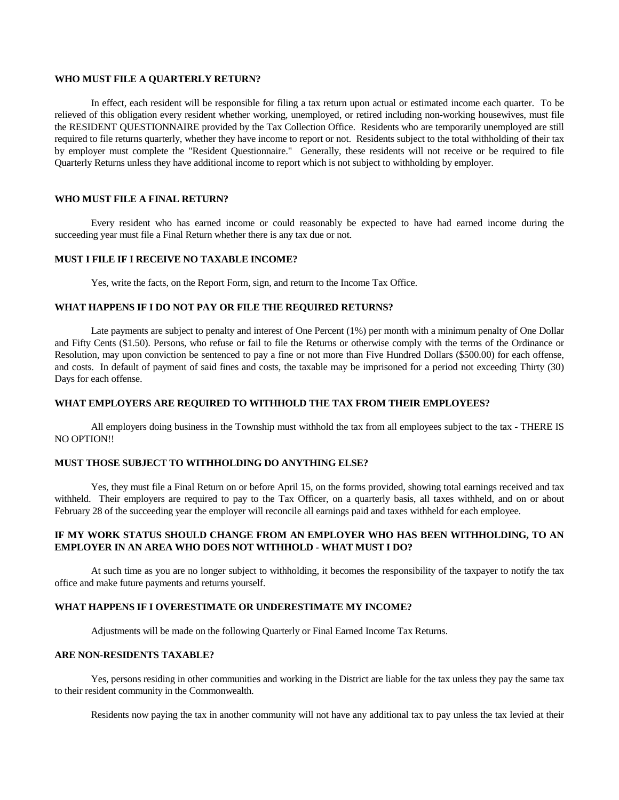#### **WHO MUST FILE A QUARTERLY RETURN?**

In effect, each resident will be responsible for filing a tax return upon actual or estimated income each quarter. To be relieved of this obligation every resident whether working, unemployed, or retired including non-working housewives, must file the RESIDENT QUESTIONNAIRE provided by the Tax Collection Office. Residents who are temporarily unemployed are still required to file returns quarterly, whether they have income to report or not. Residents subject to the total withholding of their tax by employer must complete the "Resident Questionnaire." Generally, these residents will not receive or be required to file Quarterly Returns unless they have additional income to report which is not subject to withholding by employer.

#### **WHO MUST FILE A FINAL RETURN?**

Every resident who has earned income or could reasonably be expected to have had earned income during the succeeding year must file a Final Return whether there is any tax due or not.

# **MUST I FILE IF I RECEIVE NO TAXABLE INCOME?**

Yes, write the facts, on the Report Form, sign, and return to the Income Tax Office.

#### **WHAT HAPPENS IF I DO NOT PAY OR FILE THE REQUIRED RETURNS?**

Late payments are subject to penalty and interest of One Percent (1%) per month with a minimum penalty of One Dollar and Fifty Cents (\$1.50). Persons, who refuse or fail to file the Returns or otherwise comply with the terms of the Ordinance or Resolution, may upon conviction be sentenced to pay a fine or not more than Five Hundred Dollars (\$500.00) for each offense, and costs. In default of payment of said fines and costs, the taxable may be imprisoned for a period not exceeding Thirty (30) Days for each offense.

# **WHAT EMPLOYERS ARE REQUIRED TO WITHHOLD THE TAX FROM THEIR EMPLOYEES?**

All employers doing business in the Township must withhold the tax from all employees subject to the tax - THERE IS NO OPTION!!

#### **MUST THOSE SUBJECT TO WITHHOLDING DO ANYTHING ELSE?**

Yes, they must file a Final Return on or before April 15, on the forms provided, showing total earnings received and tax withheld. Their employers are required to pay to the Tax Officer, on a quarterly basis, all taxes withheld, and on or about February 28 of the succeeding year the employer will reconcile all earnings paid and taxes withheld for each employee.

# **IF MY WORK STATUS SHOULD CHANGE FROM AN EMPLOYER WHO HAS BEEN WITHHOLDING, TO AN EMPLOYER IN AN AREA WHO DOES NOT WITHHOLD - WHAT MUST I DO?**

At such time as you are no longer subject to withholding, it becomes the responsibility of the taxpayer to notify the tax office and make future payments and returns yourself.

#### **WHAT HAPPENS IF I OVERESTIMATE OR UNDERESTIMATE MY INCOME?**

Adjustments will be made on the following Quarterly or Final Earned Income Tax Returns.

#### **ARE NON-RESIDENTS TAXABLE?**

Yes, persons residing in other communities and working in the District are liable for the tax unless they pay the same tax to their resident community in the Commonwealth.

Residents now paying the tax in another community will not have any additional tax to pay unless the tax levied at their